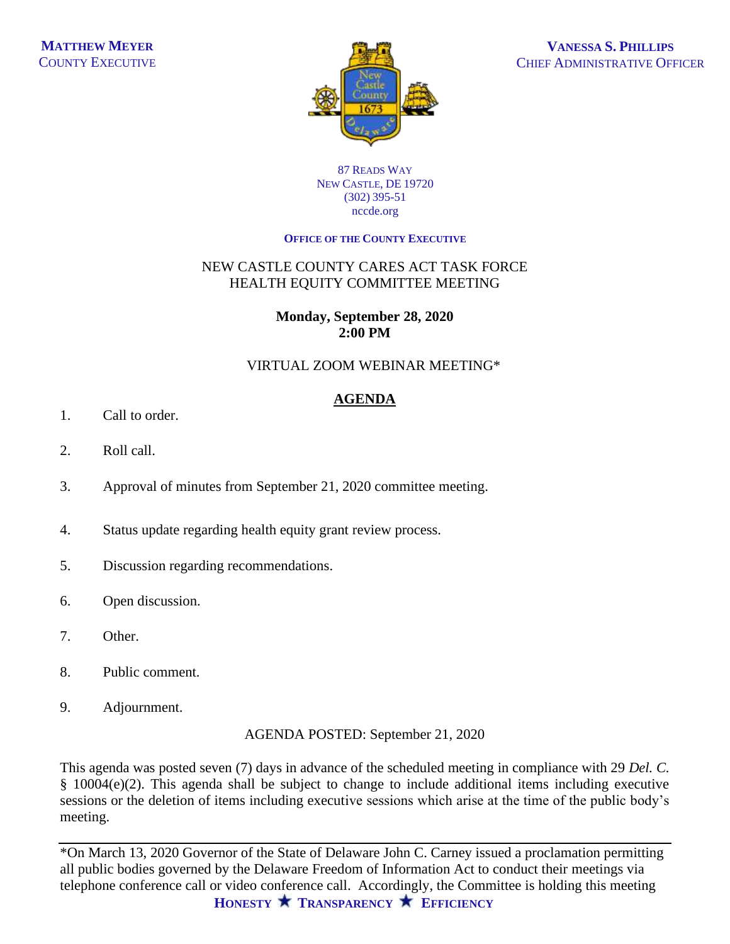

#### 87 READS WAY NEW CASTLE, DE 19720 (302) 395-51 nccde.org

#### **OFFICE OF THE COUNTY EXECUTIVE**

## NEW CASTLE COUNTY CARES ACT TASK FORCE HEALTH EQUITY COMMITTEE MEETING

#### **Monday, September 28, 2020 2:00 PM**

## VIRTUAL ZOOM WEBINAR MEETING\*

# **AGENDA**

- 1. Call to order.
- 2. Roll call.
- 3. Approval of minutes from September 21, 2020 committee meeting.
- 4. Status update regarding health equity grant review process.
- 5. Discussion regarding recommendations.
- 6. Open discussion.
- 7. Other.
- 8. Public comment.
- 9. Adjournment.

AGENDA POSTED: September 21, 2020

This agenda was posted seven (7) days in advance of the scheduled meeting in compliance with 29 *Del. C.* § 10004(e)(2). This agenda shall be subject to change to include additional items including executive sessions or the deletion of items including executive sessions which arise at the time of the public body's meeting.

**HONESTY TRANSPARENCY EFFICIENCY**  \*On March 13, 2020 Governor of the State of Delaware John C. Carney issued a proclamation permitting all public bodies governed by the Delaware Freedom of Information Act to conduct their meetings via telephone conference call or video conference call. Accordingly, the Committee is holding this meeting